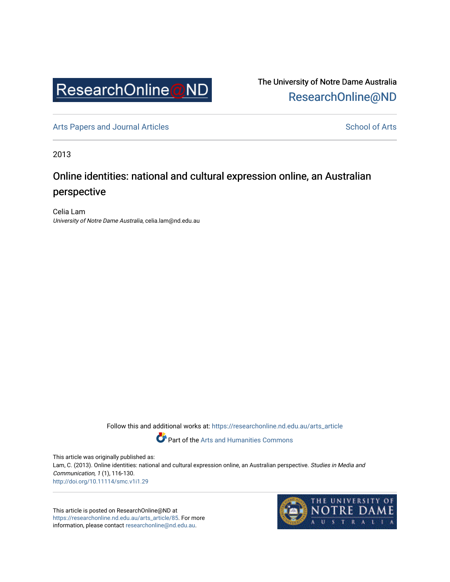

The University of Notre Dame Australia [ResearchOnline@ND](https://researchonline.nd.edu.au/) 

[Arts Papers and Journal Articles](https://researchonline.nd.edu.au/arts_article) and [School of Arts](https://researchonline.nd.edu.au/arts) School of Arts

2013

## Online identities: national and cultural expression online, an Australian perspective

Celia Lam University of Notre Dame Australia, celia.lam@nd.edu.au

Follow this and additional works at: [https://researchonline.nd.edu.au/arts\\_article](https://researchonline.nd.edu.au/arts_article?utm_source=researchonline.nd.edu.au%2Farts_article%2F85&utm_medium=PDF&utm_campaign=PDFCoverPages) 

Part of the [Arts and Humanities Commons](http://network.bepress.com/hgg/discipline/438?utm_source=researchonline.nd.edu.au%2Farts_article%2F85&utm_medium=PDF&utm_campaign=PDFCoverPages) 

This article was originally published as: Lam, C. (2013). Online identities: national and cultural expression online, an Australian perspective. Studies in Media and Communication, 1 (1), 116-130. <http://doi.org/10.11114/smc.v1i1.29>

This article is posted on ResearchOnline@ND at [https://researchonline.nd.edu.au/arts\\_article/85.](https://researchonline.nd.edu.au/arts_article/85) For more information, please contact [researchonline@nd.edu.au.](mailto:researchonline@nd.edu.au)

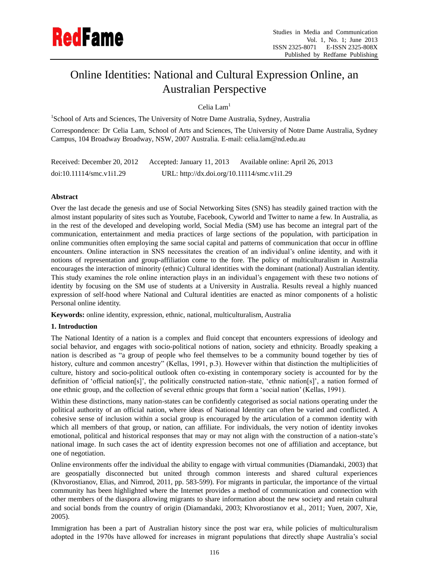# Online Identities: National and Cultural Expression Online, an Australian Perspective

## Celia Lam<sup>1</sup>

<sup>1</sup>School of Arts and Sciences, The University of Notre Dame Australia, Sydney, Australia

Correspondence: Dr Celia Lam, School of Arts and Sciences, The University of Notre Dame Australia, Sydney Campus, 104 Broadway Broadway, NSW, 2007 Australia. E-mail: celia.lam@nd.edu.au

| Received: December 20, 2012 | Accepted: January 11, 2013                  | Available online: April 26, 2013 |
|-----------------------------|---------------------------------------------|----------------------------------|
| doi:10.11114/smc.v1i1.29    | URL: http://dx.doi.org/10.11114/smc.v1i1.29 |                                  |

## **Abstract**

Over the last decade the genesis and use of Social Networking Sites (SNS) has steadily gained traction with the almost instant popularity of sites such as Youtube, Facebook, Cyworld and Twitter to name a few. In Australia, as in the rest of the developed and developing world, Social Media (SM) use has become an integral part of the communication, entertainment and media practices of large sections of the population, with participation in online communities often employing the same social capital and patterns of communication that occur in offline encounters. Online interaction in SNS necessitates the creation of an individual"s online identity, and with it notions of representation and group-affiliation come to the fore. The policy of multiculturalism in Australia encourages the interaction of minority (ethnic) Cultural identities with the dominant (national) Australian identity. This study examines the role online interaction plays in an individual"s engagement with these two notions of identity by focusing on the SM use of students at a University in Australia. Results reveal a highly nuanced expression of self-hood where National and Cultural identities are enacted as minor components of a holistic Personal online identity.

**Keywords:** online identity, expression, ethnic, national, multiculturalism, Australia

## **1. Introduction**

The National Identity of a nation is a complex and fluid concept that encounters expressions of ideology and social behavior, and engages with socio-political notions of nation, society and ethnicity. Broadly speaking a nation is described as "a group of people who feel themselves to be a community bound together by ties of history, culture and common ancestry" (Kellas, 1991, p.3). However within that distinction the multiplicities of culture, history and socio-political outlook often co-existing in contemporary society is accounted for by the definition of "official nation[s]", the politically constructed nation-state, "ethnic nation[s]", a nation formed of one ethnic group, and the collection of several ethnic groups that form a "social nation" (Kellas, 1991).

Within these distinctions, many nation-states can be confidently categorised as social nations operating under the political authority of an official nation, where ideas of National Identity can often be varied and conflicted. A cohesive sense of inclusion within a social group is encouraged by the articulation of a common identity with which all members of that group, or nation, can affiliate. For individuals, the very notion of identity invokes emotional, political and historical responses that may or may not align with the construction of a nation-state's national image. In such cases the act of identity expression becomes not one of affiliation and acceptance, but one of negotiation.

Online environments offer the individual the ability to engage with virtual communities (Diamandaki, 2003) that are geospatially disconnected but united through common interests and shared cultural experiences (Khvorostianov, Elias, and Nimrod, 2011, pp. 583-599). For migrants in particular, the importance of the virtual community has been highlighted where the Internet provides a method of communication and connection with other members of the diaspora allowing migrants to share information about the new society and retain cultural and social bonds from the country of origin (Diamandaki, 2003; Khvorostianov et al., 2011; Yuen, 2007, Xie, 2005).

Immigration has been a part of Australian history since the post war era, while policies of multiculturalism adopted in the 1970s have allowed for increases in migrant populations that directly shape Australia"s social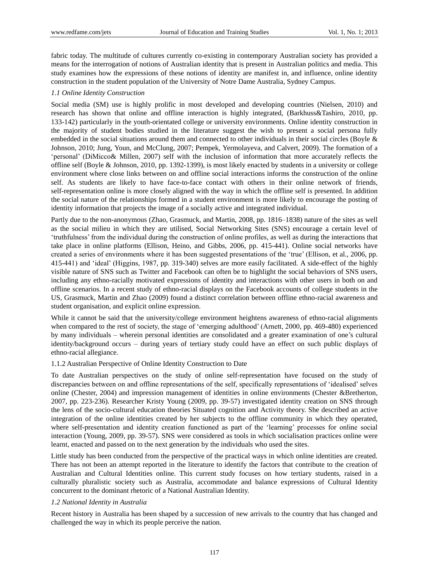fabric today. The multitude of cultures currently co-existing in contemporary Australian society has provided a means for the interrogation of notions of Australian identity that is present in Australian politics and media. This study examines how the expressions of these notions of identity are manifest in, and influence, online identity construction in the student population of the University of Notre Dame Australia, Sydney Campus.

#### *1.1 Online Identity Construction*

Social media (SM) use is highly prolific in most developed and developing countries (Nielsen, 2010) and research has shown that online and offline interaction is highly integrated, (Barkhuss&Tashiro, 2010, pp. 133-142) particularly in the youth-orientated college or university environments. Online identity construction in the majority of student bodies studied in the literature suggest the wish to present a social persona fully embedded in the social situations around them and connected to other individuals in their social circles (Boyle & Johnson, 2010; Jung, Youn, and McClung, 2007; Pempek, Yermolayeva, and Calvert, 2009). The formation of a "personal" (DiMicco& Millen, 2007) self with the inclusion of information that more accurately reflects the offline self (Boyle & Johnson, 2010, pp. 1392-1399), is most likely enacted by students in a university or college environment where close links between on and offline social interactions informs the construction of the online self. As students are likely to have face-to-face contact with others in their online network of friends, self-representation online is more closely aligned with the way in which the offline self is presented. In addition the social nature of the relationships formed in a student environment is more likely to encourage the posting of identity information that projects the image of a socially active and integrated individual.

Partly due to the non-anonymous (Zhao, Grasmuck, and Martin, 2008, pp. 1816–1838) nature of the sites as well as the social milieu in which they are utilised, Social Networking Sites (SNS) encourage a certain level of "truthfulness" from the individual during the construction of online profiles, as well as during the interactions that take place in online platforms (Ellison, Heino, and Gibbs, 2006, pp. 415-441). Online social networks have created a series of environments where it has been suggested presentations of the "true" (Ellison, et al., 2006, pp. 415-441) and "ideal" (Higgins, 1987, pp. 319-340) selves are more easily facilitated. A side-effect of the highly visible nature of SNS such as Twitter and Facebook can often be to highlight the social behaviors of SNS users, including any ethno-racially motivated expressions of identity and interactions with other users in both on and offline scenarios. In a recent study of ethno-racial displays on the Facebook accounts of college students in the US, Grasmuck, Martin and Zhao (2009) found a distinct correlation between offline ethno-racial awareness and student organisation, and explicit online expression.

While it cannot be said that the university/college environment heightens awareness of ethno-racial alignments when compared to the rest of society, the stage of 'emerging adulthood' (Arnett, 2000, pp. 469-480) experienced by many individuals – wherein personal identities are consolidated and a greater examination of one"s cultural identity/background occurs – during years of tertiary study could have an effect on such public displays of ethno-racial allegiance.

#### 1.1.2 Australian Perspective of Online Identity Construction to Date

To date Australian perspectives on the study of online self-representation have focused on the study of discrepancies between on and offline representations of the self, specifically representations of "idealised" selves online (Chester, 2004) and impression management of identities in online environments (Chester &Bretherton, 2007, pp. 223-236). Researcher Kristy Young (2009, pp. 39-57) investigated identity creation on SNS through the lens of the socio-cultural education theories Situated cognition and Activity theory. She described an active integration of the online identities created by her subjects to the offline community in which they operated, where self-presentation and identity creation functioned as part of the "learning" processes for online social interaction (Young, 2009, pp. 39-57). SNS were considered as tools in which socialisation practices online were learnt, enacted and passed on to the next generation by the individuals who used the sites.

Little study has been conducted from the perspective of the practical ways in which online identities are created. There has not been an attempt reported in the literature to identify the factors that contribute to the creation of Australian and Cultural Identities online. This current study focuses on how tertiary students, raised in a culturally pluralistic society such as Australia, accommodate and balance expressions of Cultural Identity concurrent to the dominant rhetoric of a National Australian Identity.

#### *1.2 National Identity in Australia*

Recent history in Australia has been shaped by a succession of new arrivals to the country that has changed and challenged the way in which its people perceive the nation.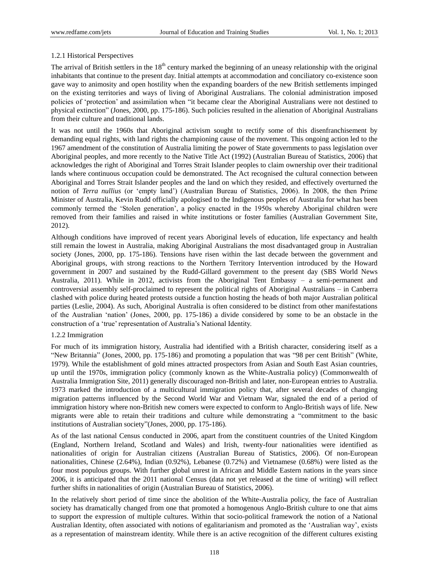## 1.2.1 Historical Perspectives

The arrival of British settlers in the  $18<sup>th</sup>$  century marked the beginning of an uneasy relationship with the original inhabitants that continue to the present day. Initial attempts at accommodation and conciliatory co-existence soon gave way to animosity and open hostility when the expanding boarders of the new British settlements impinged on the existing territories and ways of living of Aboriginal Australians. The colonial administration imposed policies of "protection" and assimilation when "it became clear the Aboriginal Australians were not destined to physical extinction" (Jones, 2000, pp. 175-186). Such policies resulted in the alienation of Aboriginal Australians from their culture and traditional lands.

It was not until the 1960s that Aboriginal activism sought to rectify some of this disenfranchisement by demanding equal rights, with land rights the championing cause of the movement. This ongoing action led to the 1967 amendment of the constitution of Australia limiting the power of State governments to pass legislation over Aboriginal peoples, and more recently to the Native Title Act (1992) (Australian Bureau of Statistics, 2006) that acknowledges the right of Aboriginal and Torres Strait Islander peoples to claim ownership over their traditional lands where continuous occupation could be demonstrated. The Act recognised the cultural connection between Aboriginal and Torres Strait Islander peoples and the land on which they resided, and effectively overturned the notion of *Terra nullius* (or "empty land") (Australian Bureau of Statistics, 2006). In 2008, the then Prime Minister of Australia, Kevin Rudd officially apologised to the Indigenous peoples of Australia for what has been commonly termed the "Stolen generation", a policy enacted in the 1950s whereby Aboriginal children were removed from their families and raised in white institutions or foster families (Australian Government Site, 2012).

Although conditions have improved of recent years Aboriginal levels of education, life expectancy and health still remain the lowest in Australia, making Aboriginal Australians the most disadvantaged group in Australian society (Jones, 2000, pp. 175-186). Tensions have risen within the last decade between the government and Aboriginal groups, with strong reactions to the Northern Territory Intervention introduced by the Howard government in 2007 and sustained by the Rudd-Gillard government to the present day (SBS World News Australia, 2011). While in 2012, activists from the Aboriginal Tent Embassy – a semi-permanent and controversial assembly self-proclaimed to represent the political rights of Aboriginal Australians – in Canberra clashed with police during heated protests outside a function hosting the heads of both major Australian political parties (Leslie, 2004). As such, Aboriginal Australia is often considered to be distinct from other manifestations of the Australian "nation" (Jones, 2000, pp. 175-186) a divide considered by some to be an obstacle in the construction of a 'true' representation of Australia's National Identity.

## 1.2.2 Immigration

For much of its immigration history, Australia had identified with a British character, considering itself as a "New Britannia" (Jones, 2000, pp. 175-186) and promoting a population that was "98 per cent British" (White, 1979). While the establishment of gold mines attracted prospectors from Asian and South East Asian countries, up until the 1970s, immigration policy (commonly known as the White-Australia policy) (Commonwealth of Australia Immigration Site, 2011) generally discouraged non-British and later, non-European entries to Australia. 1973 marked the introduction of a multicultural immigration policy that, after several decades of changing migration patterns influenced by the Second World War and Vietnam War, signaled the end of a period of immigration history where non-British new comers were expected to conform to Anglo-British ways of life. New migrants were able to retain their traditions and culture while demonstrating a "commitment to the basic institutions of Australian society"(Jones, 2000, pp. 175-186).

As of the last national Census conducted in 2006, apart from the constituent countries of the United Kingdom (England, Northern Ireland, Scotland and Wales) and Irish, twenty-four nationalities were identified as nationalities of origin for Australian citizens (Australian Bureau of Statistics, 2006). Of non-European nationalities, Chinese (2.64%), Indian (0.92%), Lebanese (0.72%) and Vietnamese (0.68%) were listed as the four most populous groups. With further global unrest in African and Middle Eastern nations in the years since 2006, it is anticipated that the 2011 national Census (data not yet released at the time of writing) will reflect further shifts in nationalities of origin (Australian Bureau of Statistics, 2006).

In the relatively short period of time since the abolition of the White-Australia policy, the face of Australian society has dramatically changed from one that promoted a homogenous Anglo-British culture to one that aims to support the expression of multiple cultures. Within that socio-political framework the notion of a National Australian Identity, often associated with notions of egalitarianism and promoted as the "Australian way", exists as a representation of mainstream identity. While there is an active recognition of the different cultures existing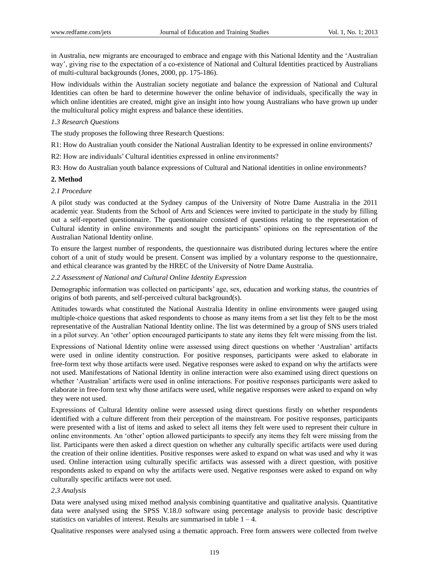in Australia, new migrants are encouraged to embrace and engage with this National Identity and the "Australian way", giving rise to the expectation of a co-existence of National and Cultural Identities practiced by Australians of multi-cultural backgrounds (Jones, 2000, pp. 175-186).

How individuals within the Australian society negotiate and balance the expression of National and Cultural Identities can often be hard to determine however the online behavior of individuals, specifically the way in which online identities are created, might give an insight into how young Australians who have grown up under the multicultural policy might express and balance these identities.

## *1.3 Research Questions*

The study proposes the following three Research Questions:

R1: How do Australian youth consider the National Australian Identity to be expressed in online environments?

R2: How are individuals" Cultural identities expressed in online environments?

R3: How do Australian youth balance expressions of Cultural and National identities in online environments?

## **2. Method**

## *2.1 Procedure*

A pilot study was conducted at the Sydney campus of the University of Notre Dame Australia in the 2011 academic year. Students from the School of Arts and Sciences were invited to participate in the study by filling out a self-reported questionnaire. The questionnaire consisted of questions relating to the representation of Cultural identity in online environments and sought the participants" opinions on the representation of the Australian National Identity online.

To ensure the largest number of respondents, the questionnaire was distributed during lectures where the entire cohort of a unit of study would be present. Consent was implied by a voluntary response to the questionnaire, and ethical clearance was granted by the HREC of the University of Notre Dame Australia.

### *2.2 Assessment of National and Cultural Online Identity Expression*

Demographic information was collected on participants" age, sex, education and working status, the countries of origins of both parents, and self-perceived cultural background(s).

Attitudes towards what constituted the National Australia Identity in online environments were gauged using multiple-choice questions that asked respondents to choose as many items from a set list they felt to be the most representative of the Australian National Identity online. The list was determined by a group of SNS users trialed in a pilot survey. An "other" option encouraged participants to state any items they felt were missing from the list.

Expressions of National Identity online were assessed using direct questions on whether "Australian" artifacts were used in online identity construction. For positive responses, participants were asked to elaborate in free-form text why those artifacts were used. Negative responses were asked to expand on why the artifacts were not used. Manifestations of National Identity in online interaction were also examined using direct questions on whether "Australian" artifacts were used in online interactions. For positive responses participants were asked to elaborate in free-form text why those artifacts were used, while negative responses were asked to expand on why they were not used.

Expressions of Cultural Identity online were assessed using direct questions firstly on whether respondents identified with a culture different from their perception of the mainstream. For positive responses, participants were presented with a list of items and asked to select all items they felt were used to represent their culture in online environments. An "other" option allowed participants to specify any items they felt were missing from the list. Participants were then asked a direct question on whether any culturally specific artifacts were used during the creation of their online identities. Positive responses were asked to expand on what was used and why it was used. Online interaction using culturally specific artifacts was assessed with a direct question, with positive respondents asked to expand on why the artifacts were used. Negative responses were asked to expand on why culturally specific artifacts were not used.

## *2.3 Analysis*

Data were analysed using mixed method analysis combining quantitative and qualitative analysis. Quantitative data were analysed using the SPSS V.18.0 software using percentage analysis to provide basic descriptive statistics on variables of interest. Results are summarised in table  $1 - 4$ .

Qualitative responses were analysed using a thematic approach. Free form answers were collected from twelve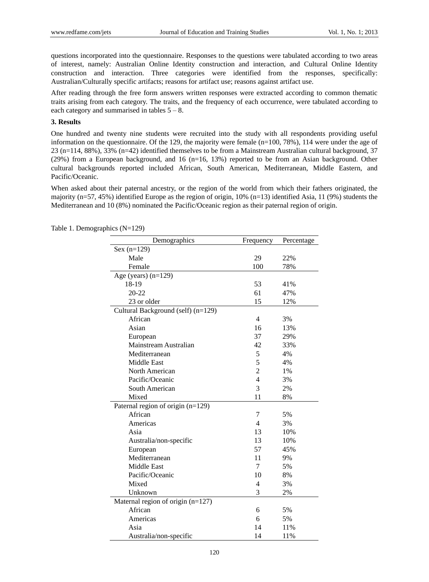questions incorporated into the questionnaire. Responses to the questions were tabulated according to two areas of interest, namely: Australian Online Identity construction and interaction, and Cultural Online Identity construction and interaction. Three categories were identified from the responses, specifically: Australian/Culturally specific artifacts; reasons for artifact use; reasons against artifact use.

After reading through the free form answers written responses were extracted according to common thematic traits arising from each category. The traits, and the frequency of each occurrence, were tabulated according to each category and summarised in tables  $5 - 8$ .

## **3. Results**

One hundred and twenty nine students were recruited into the study with all respondents providing useful information on the questionnaire. Of the 129, the majority were female (n=100, 78%), 114 were under the age of 23 (n=114, 88%), 33% (n=42) identified themselves to be from a Mainstream Australian cultural background, 37 (29%) from a European background, and 16 (n=16, 13%) reported to be from an Asian background. Other cultural backgrounds reported included African, South American, Mediterranean, Middle Eastern, and Pacific/Oceanic.

When asked about their paternal ancestry, or the region of the world from which their fathers originated, the majority (n=57, 45%) identified Europe as the region of origin, 10% (n=13) identified Asia, 11 (9%) students the Mediterranean and 10 (8%) nominated the Pacific/Oceanic region as their paternal region of origin.

| Demographics                        | Frequency      | Percentage |
|-------------------------------------|----------------|------------|
| $Sex (n=129)$                       |                |            |
| Male                                | 29             | 22%        |
| Female                              | 100            | 78%        |
| Age (years) $(n=129)$               |                |            |
| 18-19                               | 53             | 41%        |
| 20-22                               | 61             | 47%        |
| 23 or older                         | 15             | 12%        |
| Cultural Background (self) (n=129)  |                |            |
| African                             | $\overline{4}$ | 3%         |
| Asian                               | 16             | 13%        |
| European                            | 37             | 29%        |
| Mainstream Australian               | 42             | 33%        |
| Mediterranean                       | 5              | 4%         |
| Middle East                         | 5              | 4%         |
| North American                      | $\overline{2}$ | 1%         |
| Pacific/Oceanic                     | $\overline{4}$ | 3%         |
| South American                      | 3              | 2%         |
| Mixed                               | 11             | 8%         |
| Paternal region of origin (n=129)   |                |            |
| African                             | 7              | 5%         |
| Americas                            | 4              | 3%         |
| Asia                                | 13             | 10%        |
| Australia/non-specific              | 13             | 10%        |
| European                            | 57             | 45%        |
| Mediterranean                       | 11             | 9%         |
| <b>Middle East</b>                  | 7              | 5%         |
| Pacific/Oceanic                     | 10             | 8%         |
| Mixed                               | 4              | 3%         |
| Unknown                             | 3              | 2%         |
| Maternal region of origin $(n=127)$ |                |            |
| African                             | 6              | 5%         |
| Americas                            | 6              | 5%         |
| Asia                                | 14             | 11%        |
| Australia/non-specific              | 14             | 11%        |

Table 1. Demographics (N=129)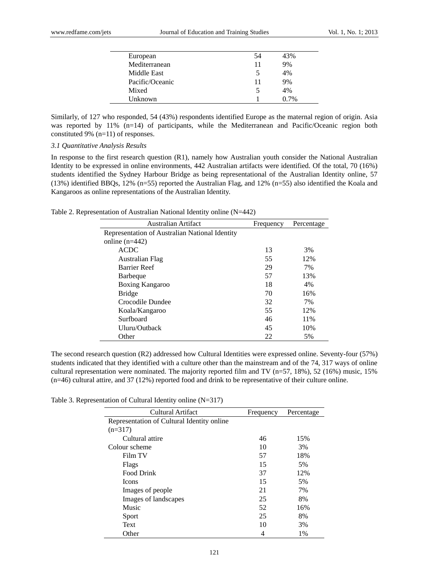| European        | 54 | 43%  |
|-----------------|----|------|
| Mediterranean   | 11 | 9%   |
| Middle East     |    | 4%   |
| Pacific/Oceanic | 11 | 9%   |
| Mixed           |    | 4%   |
| Unknown         |    | በ 7% |

Similarly, of 127 who responded, 54 (43%) respondents identified Europe as the maternal region of origin. Asia was reported by 11% (n=14) of participants, while the Mediterranean and Pacific/Oceanic region both constituted 9% (n=11) of responses.

*3.1 Quantitative Analysis Results*

In response to the first research question (R1), namely how Australian youth consider the National Australian Identity to be expressed in online environments, 442 Australian artifacts were identified. Of the total, 70 (16%) students identified the Sydney Harbour Bridge as being representational of the Australian Identity online, 57 (13%) identified BBQs, 12% (n=55) reported the Australian Flag, and 12% (n=55) also identified the Koala and Kangaroos as online representations of the Australian Identity.

Table 2. Representation of Australian National Identity online (N=442)

| <b>Australian Artifact</b>                     | Frequency | Percentage |
|------------------------------------------------|-----------|------------|
| Representation of Australian National Identity |           |            |
| online $(n=442)$                               |           |            |
| <b>ACDC</b>                                    | 13        | 3%         |
| Australian Flag                                | 55        | 12%        |
| <b>Barrier Reef</b>                            | 29        | 7%         |
| <b>Barbeque</b>                                | 57        | 13%        |
| Boxing Kangaroo                                | 18        | 4%         |
| <b>Bridge</b>                                  | 70        | 16%        |
| Crocodile Dundee                               | 32        | 7%         |
| Koala/Kangaroo                                 | 55        | 12%        |
| Surfboard                                      | 46        | 11%        |
| Uluru/Outback                                  | 45        | 10%        |
| Other                                          | 22        | 5%         |

The second research question (R2) addressed how Cultural Identities were expressed online. Seventy-four (57%) students indicated that they identified with a culture other than the mainstream and of the 74, 317 ways of online cultural representation were nominated. The majority reported film and TV (n=57, 18%), 52 (16%) music, 15% (n=46) cultural attire, and 37 (12%) reported food and drink to be representative of their culture online.

Table 3. Representation of Cultural Identity online (N=317)

| Cultural Artifact                          | Frequency | Percentage |
|--------------------------------------------|-----------|------------|
| Representation of Cultural Identity online |           |            |
| $(n=317)$                                  |           |            |
| Cultural attire                            | 46        | 15%        |
| Colour scheme                              | 10        | 3%         |
| Film TV                                    | 57        | 18%        |
| Flags                                      | 15        | 5%         |
| Food Drink                                 | 37        | 12%        |
| <b>Icons</b>                               | 15        | 5%         |
| Images of people                           | 21        | 7%         |
| Images of landscapes                       | 25        | 8%         |
| Music                                      | 52        | 16%        |
| Sport                                      | 25        | 8%         |
| Text                                       | 10        | 3%         |
| Other                                      | 4         | $1\%$      |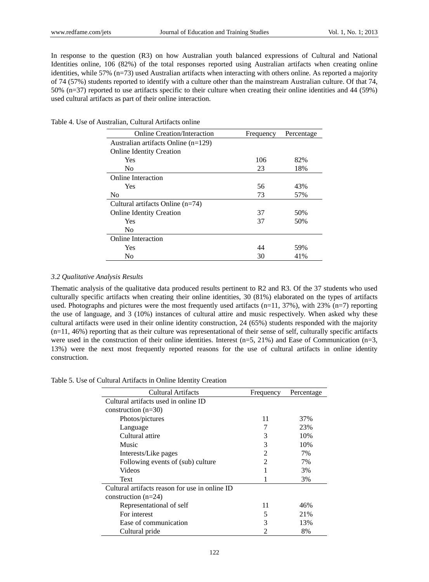In response to the question (R3) on how Australian youth balanced expressions of Cultural and National Identities online, 106 (82%) of the total responses reported using Australian artifacts when creating online identities, while 57% (n=73) used Australian artifacts when interacting with others online. As reported a majority of 74 (57%) students reported to identify with a culture other than the mainstream Australian culture. Of that 74, 50% (n=37) reported to use artifacts specific to their culture when creating their online identities and 44 (59%) used cultural artifacts as part of their online interaction.

|  |  | Table 4. Use of Australian, Cultural Artifacts online |  |
|--|--|-------------------------------------------------------|--|
|--|--|-------------------------------------------------------|--|

| <b>Online Creation/Interaction</b>    | Frequency | Percentage |
|---------------------------------------|-----------|------------|
| Australian artifacts Online $(n=129)$ |           |            |
| <b>Online Identity Creation</b>       |           |            |
| Yes                                   | 106       | 82%        |
| N <sub>0</sub>                        | 23        | 18%        |
| Online Interaction                    |           |            |
| Yes                                   | 56        | 43%        |
| N <sub>0</sub>                        | 73        | 57%        |
| Cultural artifacts Online $(n=74)$    |           |            |
| <b>Online Identity Creation</b>       | 37        | 50%        |
| Yes                                   | 37        | 50%        |
| N <sub>0</sub>                        |           |            |
| <b>Online Interaction</b>             |           |            |
| Yes                                   | 44        | 59%        |
| N <sub>0</sub>                        | 30        | 41%        |

## *3.2 Qualitative Analysis Results*

Thematic analysis of the qualitative data produced results pertinent to R2 and R3. Of the 37 students who used culturally specific artifacts when creating their online identities, 30 (81%) elaborated on the types of artifacts used. Photographs and pictures were the most frequently used artifacts (n=11, 37%), with 23% (n=7) reporting the use of language, and 3 (10%) instances of cultural attire and music respectively. When asked why these cultural artifacts were used in their online identity construction, 24 (65%) students responded with the majority  $(n=11, 46%)$  reporting that as their culture was representational of their sense of self, culturally specific artifacts were used in the construction of their online identities. Interest (n=5, 21%) and Ease of Communication (n=3, 13%) were the next most frequently reported reasons for the use of cultural artifacts in online identity construction.

Table 5. Use of Cultural Artifacts in Online Identity Creation

| Cultural Artifacts                             | Frequency | Percentage |
|------------------------------------------------|-----------|------------|
| Cultural artifacts used in online ID           |           |            |
| construction $(n=30)$                          |           |            |
| Photos/pictures                                | 11        | 37%        |
| Language                                       |           | 23%        |
| Cultural attire                                | 3         | 10%        |
| Music                                          | 3         | 10%        |
| Interests/Like pages                           | 2         | 7%         |
| Following events of (sub) culture              | 2         | 7%         |
| <b>Videos</b>                                  |           | 3%         |
| Text                                           |           | 3%         |
| Cultural artifacts reason for use in online ID |           |            |
| construction $(n=24)$                          |           |            |
| Representational of self                       | 11        | 46%        |
| For interest                                   | 5         | 21%        |
| Ease of communication                          | 3         | 13%        |
| Cultural pride                                 | 2         | 8%         |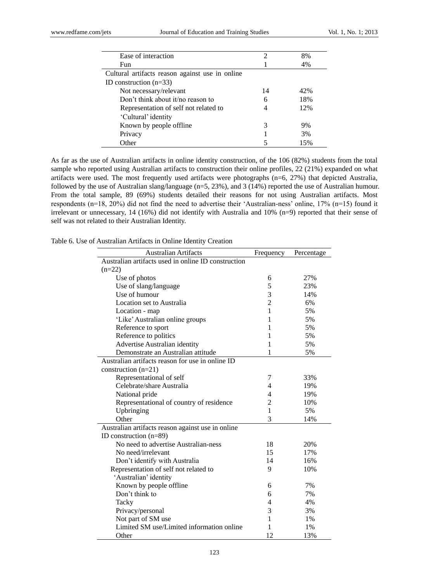| Ease of interaction                             | 2  | 8%  |
|-------------------------------------------------|----|-----|
| Fun                                             |    | 4%  |
| Cultural artifacts reason against use in online |    |     |
| ID construction $(n=33)$                        |    |     |
| Not necessary/relevant                          | 14 | 42% |
| Don't think about it/no reason to               | 6  | 18% |
| Representation of self not related to           |    | 12% |
| 'Cultural' identity                             |    |     |
| Known by people offline                         | 3  | 9%  |
| Privacy                                         |    | 3%  |
| Other                                           |    | 15% |

As far as the use of Australian artifacts in online identity construction, of the 106 (82%) students from the total sample who reported using Australian artifacts to construction their online profiles, 22 (21%) expanded on what artifacts were used. The most frequently used artifacts were photographs (n=6, 27%) that depicted Australia, followed by the use of Australian slang/language (n=5, 23%), and 3 (14%) reported the use of Australian humour. From the total sample, 89 (69%) students detailed their reasons for not using Australian artifacts. Most respondents (n=18, 20%) did not find the need to advertise their "Australian-ness" online, 17% (n=15) found it irrelevant or unnecessary, 14 (16%) did not identify with Australia and 10% (n=9) reported that their sense of self was not related to their Australian Identity.

Table 6. Use of Australian Artifacts in Online Identity Creation

| <b>Australian Artifacts</b>                         | Frequency      | Percentage |
|-----------------------------------------------------|----------------|------------|
| Australian artifacts used in online ID construction |                |            |
| $(n=22)$                                            |                |            |
| Use of photos                                       | 6              | 27%        |
| Use of slang/language                               | 5              | 23%        |
| Use of humour                                       | 3              | 14%        |
| Location set to Australia                           | $\overline{2}$ | 6%         |
| Location - map                                      | $\mathbf{1}$   | 5%         |
| 'Like' Australian online groups                     | 1              | 5%         |
| Reference to sport                                  | 1              | 5%         |
| Reference to politics                               | 1              | 5%         |
| Advertise Australian identity                       | 1              | 5%         |
| Demonstrate an Australian attitude                  | 1              | 5%         |
| Australian artifacts reason for use in online ID    |                |            |
| construction (n=21)                                 |                |            |
| Representational of self                            | 7              | 33%        |
| Celebrate/share Australia                           | 4              | 19%        |
| National pride                                      | 4              | 19%        |
| Representational of country of residence            | $\overline{c}$ | 10%        |
| Upbringing                                          | 1              | 5%         |
| Other                                               | 3              | 14%        |
| Australian artifacts reason against use in online   |                |            |
| ID construction $(n=89)$                            |                |            |
| No need to advertise Australian-ness                | 18             | 20%        |
| No need/irrelevant                                  | 15             | 17%        |
| Don't identify with Australia                       | 14             | 16%        |
| Representation of self not related to               | 9              | 10%        |
| 'Australian' identity                               |                |            |
| Known by people offline                             | 6              | 7%         |
| Don't think to                                      | 6              | 7%         |
| Tacky                                               | 4              | 4%         |
| Privacy/personal                                    | 3              | 3%         |
| Not part of SM use                                  | 1              | $1\%$      |
| Limited SM use/Limited information online           | 1              | $1\%$      |
| Other                                               | 12             | 13%        |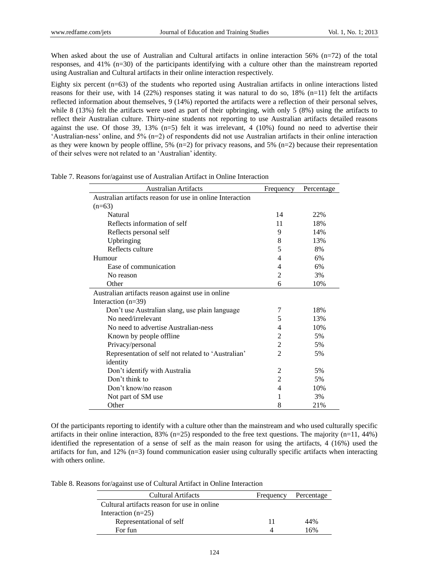When asked about the use of Australian and Cultural artifacts in online interaction 56% (n=72) of the total responses, and 41% (n=30) of the participants identifying with a culture other than the mainstream reported using Australian and Cultural artifacts in their online interaction respectively.

Eighty six percent (n=63) of the students who reported using Australian artifacts in online interactions listed reasons for their use, with 14 (22%) responses stating it was natural to do so, 18% (n=11) felt the artifacts reflected information about themselves, 9 (14%) reported the artifacts were a reflection of their personal selves, while 8 (13%) felt the artifacts were used as part of their upbringing, with only 5 (8%) using the artifacts to reflect their Australian culture. Thirty-nine students not reporting to use Australian artifacts detailed reasons against the use. Of those 39, 13%  $(n=5)$  felt it was irrelevant, 4 (10%) found no need to advertise their "Australian-ness" online, and 5% (n=2) of respondents did not use Australian artifacts in their online interaction as they were known by people offline, 5%  $(n=2)$  for privacy reasons, and 5%  $(n=2)$  because their representation of their selves were not related to an "Australian" identity.

| <b>Australian Artifacts</b>                               | Frequency      | Percentage |
|-----------------------------------------------------------|----------------|------------|
| Australian artifacts reason for use in online Interaction |                |            |
| $(n=63)$                                                  |                |            |
| Natural                                                   | 14             | 22%        |
| Reflects information of self                              | 11             | 18%        |
| Reflects personal self                                    | 9              | 14%        |
| Upbringing                                                | 8              | 13%        |
| Reflects culture                                          | 5              | 8%         |
| Humour                                                    | 4              | 6%         |
| Ease of communication                                     | 4              | 6%         |
| No reason                                                 | 2              | 3%         |
| Other                                                     | 6              | 10%        |
| Australian artifacts reason against use in online         |                |            |
| Interaction $(n=39)$                                      |                |            |
| Don't use Australian slang, use plain language            | 7              | 18%        |
| No need/irrelevant                                        | 5              | 13%        |
| No need to advertise Australian-ness                      | 4              | 10%        |
| Known by people offline                                   | 2              | 5%         |
| Privacy/personal                                          | 2              | 5%         |
| Representation of self not related to 'Australian'        | $\mathfrak{D}$ | 5%         |
| identity                                                  |                |            |
| Don't identify with Australia                             | 2              | 5%         |
| Don't think to                                            | 2              | 5%         |
| Don't know/no reason                                      | 4              | 10%        |
| Not part of SM use                                        | 1              | 3%         |
| Other                                                     | 8              | 21%        |

Table 7. Reasons for/against use of Australian Artifact in Online Interaction

Of the participants reporting to identify with a culture other than the mainstream and who used culturally specific artifacts in their online interaction, 83% (n=25) responded to the free text questions. The majority (n=11, 44%) identified the representation of a sense of self as the main reason for using the artifacts, 4 (16%) used the artifacts for fun, and 12% (n=3) found communication easier using culturally specific artifacts when interacting with others online.

Table 8. Reasons for/against use of Cultural Artifact in Online Interaction

| <b>Cultural Artifacts</b>                   | Frequency | Percentage |
|---------------------------------------------|-----------|------------|
| Cultural artifacts reason for use in online |           |            |
| Interaction $(n=25)$                        |           |            |
| Representational of self                    | 11        | 44%        |
| For fun                                     |           | 16%        |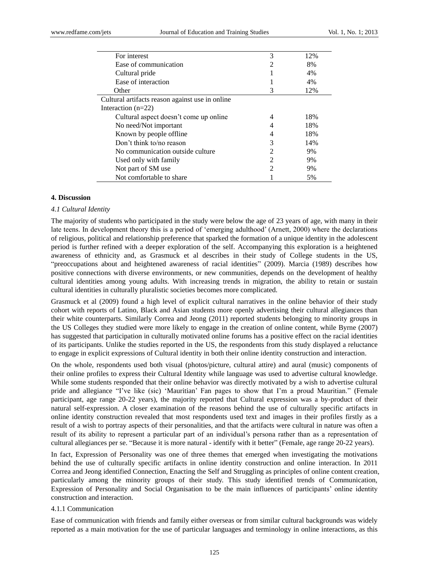| For interest                                    | 3              | 12% |
|-------------------------------------------------|----------------|-----|
| Ease of communication                           | $\mathfrak{D}$ | 8%  |
| Cultural pride                                  |                | 4%  |
| Ease of interaction                             |                | 4%  |
| Other                                           | 3              | 12% |
| Cultural artifacts reason against use in online |                |     |
| Interaction $(n=22)$                            |                |     |
| Cultural aspect doesn't come up online          | 4              | 18% |
| No need/Not important                           |                | 18% |
| Known by people offline                         | 4              | 18% |
| Don't think to/no reason                        | 3              | 14% |
| No communication outside culture                | 2              | 9%  |
| Used only with family                           | $\mathfrak{D}$ | 9%  |
| Not part of SM use                              | 2              | 9%  |
| Not comfortable to share                        |                | 5%  |
|                                                 |                |     |

## **4. Discussion**

### *4.1 Cultural Identity*

The majority of students who participated in the study were below the age of 23 years of age, with many in their late teens. In development theory this is a period of "emerging adulthood" (Arnett, 2000) where the declarations of religious, political and relationship preference that sparked the formation of a unique identity in the adolescent period is further refined with a deeper exploration of the self. Accompanying this exploration is a heightened awareness of ethnicity and, as Grasmuck et al describes in their study of College students in the US, "preoccupations about and heightened awareness of racial identities" (2009). Marcia (1989) describes how positive connections with diverse environments, or new communities, depends on the development of healthy cultural identities among young adults. With increasing trends in migration, the ability to retain or sustain cultural identities in culturally pluralistic societies becomes more complicated.

Grasmuck et al (2009) found a high level of explicit cultural narratives in the online behavior of their study cohort with reports of Latino, Black and Asian students more openly advertising their cultural allegiances than their white counterparts. Similarly Correa and Jeong (2011) reported students belonging to minority groups in the US Colleges they studied were more likely to engage in the creation of online content, while Byrne (2007) has suggested that participation in culturally motivated online forums has a positive effect on the racial identities of its participants. Unlike the studies reported in the US, the respondents from this study displayed a reluctance to engage in explicit expressions of Cultural identity in both their online identity construction and interaction.

On the whole, respondents used both visual (photos/picture, cultural attire) and aural (music) components of their online profiles to express their Cultural Identity while language was used to advertise cultural knowledge. While some students responded that their online behavior was directly motivated by a wish to advertise cultural pride and allegiance "I"ve like (sic) "Mauritian" Fan pages to show that I"m a proud Mauritian." (Female participant, age range 20-22 years), the majority reported that Cultural expression was a by-product of their natural self-expression. A closer examination of the reasons behind the use of culturally specific artifacts in online identity construction revealed that most respondents used text and images in their profiles firstly as a result of a wish to portray aspects of their personalities, and that the artifacts were cultural in nature was often a result of its ability to represent a particular part of an individual"s persona rather than as a representation of cultural allegiances per se. "Because it is more natural - identify with it better" (Female, age range 20-22 years).

In fact, Expression of Personality was one of three themes that emerged when investigating the motivations behind the use of culturally specific artifacts in online identity construction and online interaction. In 2011 Correa and Jeong identified Connection, Enacting the Self and Struggling as principles of online content creation, particularly among the minority groups of their study. This study identified trends of Communication, Expression of Personality and Social Organisation to be the main influences of participants" online identity construction and interaction.

## 4.1.1 Communication

Ease of communication with friends and family either overseas or from similar cultural backgrounds was widely reported as a main motivation for the use of particular languages and terminology in online interactions, as this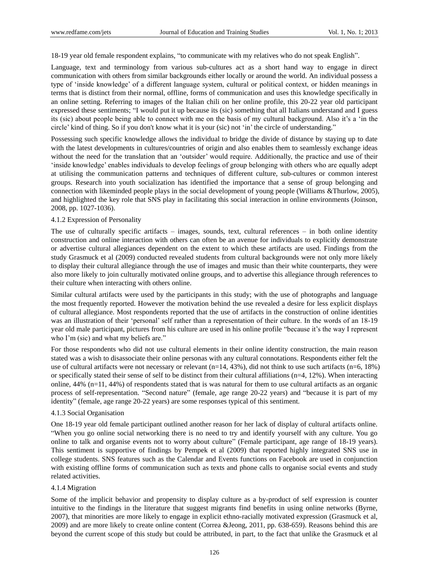18-19 year old female respondent explains, "to communicate with my relatives who do not speak English".

Language, text and terminology from various sub-cultures act as a short hand way to engage in direct communication with others from similar backgrounds either locally or around the world. An individual possess a type of "inside knowledge" of a different language system, cultural or political context, or hidden meanings in terms that is distinct from their normal, offline, forms of communication and uses this knowledge specifically in an online setting. Referring to images of the Italian chili on her online profile, this 20-22 year old participant expressed these sentiments; "I would put it up because its (sic) something that all Italians understand and I guess its (sic) about people being able to connect with me on the basis of my cultural background. Also it's a 'in the circle" kind of thing. So if you don't know what it is your (sic) not "in" the circle of understanding."

Possessing such specific knowledge allows the individual to bridge the divide of distance by staying up to date with the latest developments in cultures/countries of origin and also enables them to seamlessly exchange ideas without the need for the translation that an 'outsider' would require. Additionally, the practice and use of their "inside knowledge" enables individuals to develop feelings of group belonging with others who are equally adept at utilising the communication patterns and techniques of different culture, sub-cultures or common interest groups. Research into youth socialization has identified the importance that a sense of group belonging and connection with likeminded people plays in the social development of young people (Williams &Thurlow, 2005), and highlighted the key role that SNS play in facilitating this social interaction in online environments (Joinson, 2008, pp. 1027-1036).

#### 4.1.2 Expression of Personality

The use of culturally specific artifacts – images, sounds, text, cultural references – in both online identity construction and online interaction with others can often be an avenue for individuals to explicitly demonstrate or advertise cultural allegiances dependent on the extent to which these artifacts are used. Findings from the study Grasmuck et al (2009) conducted revealed students from cultural backgrounds were not only more likely to display their cultural allegiance through the use of images and music than their white counterparts, they were also more likely to join culturally motivated online groups, and to advertise this allegiance through references to their culture when interacting with others online.

Similar cultural artifacts were used by the participants in this study; with the use of photographs and language the most frequently reported. However the motivation behind the use revealed a desire for less explicit displays of cultural allegiance. Most respondents reported that the use of artifacts in the construction of online identities was an illustration of their 'personal' self rather than a representation of their culture. In the words of an 18-19 year old male participant, pictures from his culture are used in his online profile "because it's the way I represent who I'm (sic) and what my beliefs are."

For those respondents who did not use cultural elements in their online identity construction, the main reason stated was a wish to disassociate their online personas with any cultural connotations. Respondents either felt the use of cultural artifacts were not necessary or relevant (n=14, 43%), did not think to use such artifacts (n=6, 18%) or specifically stated their sense of self to be distinct from their cultural affiliations (n=4, 12%). When interacting online, 44% (n=11, 44%) of respondents stated that is was natural for them to use cultural artifacts as an organic process of self-representation. "Second nature" (female, age range 20-22 years) and "because it is part of my identity" (female, age range 20-22 years) are some responses typical of this sentiment.

## 4.1.3 Social Organisation

One 18-19 year old female participant outlined another reason for her lack of display of cultural artifacts online. "When you go online social networking there is no need to try and identify yourself with any culture. You go online to talk and organise events not to worry about culture" (Female participant, age range of 18-19 years). This sentiment is supportive of findings by Pempek et al (2009) that reported highly integrated SNS use in college students. SNS features such as the Calendar and Events functions on Facebook are used in conjunction with existing offline forms of communication such as texts and phone calls to organise social events and study related activities.

#### 4.1.4 Migration

Some of the implicit behavior and propensity to display culture as a by-product of self expression is counter intuitive to the findings in the literature that suggest migrants find benefits in using online networks (Byrne, 2007), that minorities are more likely to engage in explicit ethno-racially motivated expression (Grasmuck et al, 2009) and are more likely to create online content (Correa &Jeong, 2011, pp. 638-659). Reasons behind this are beyond the current scope of this study but could be attributed, in part, to the fact that unlike the Grasmuck et al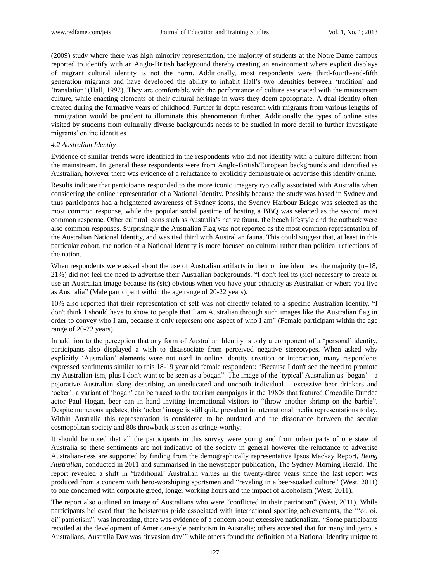(2009) study where there was high minority representation, the majority of students at the Notre Dame campus reported to identify with an Anglo-British background thereby creating an environment where explicit displays of migrant cultural identity is not the norm. Additionally, most respondents were third-fourth-and-fifth generation migrants and have developed the ability to inhabit Hall"s two identities between "tradition" and "translation" (Hall, 1992). They are comfortable with the performance of culture associated with the mainstream culture, while enacting elements of their cultural heritage in ways they deem appropriate. A dual identity often created during the formative years of childhood. Further in depth research with migrants from various lengths of immigration would be prudent to illuminate this phenomenon further. Additionally the types of online sites visited by students from culturally diverse backgrounds needs to be studied in more detail to further investigate migrants' online identities.

#### *4.2 Australian Identity*

Evidence of similar trends were identified in the respondents who did not identify with a culture different from the mainstream. In general these respondents were from Anglo-British/European backgrounds and identified as Australian, however there was evidence of a reluctance to explicitly demonstrate or advertise this identity online.

Results indicate that participants responded to the more iconic imagery typically associated with Australia when considering the online representation of a National Identity. Possibly because the study was based in Sydney and thus participants had a heightened awareness of Sydney icons, the Sydney Harbour Bridge was selected as the most common response, while the popular social pastime of hosting a BBQ was selected as the second most common response. Other cultural icons such as Australia"s native fauna, the beach lifestyle and the outback were also common responses. Surprisingly the Australian Flag was not reported as the most common representation of the Australian National Identity, and was tied third with Australian fauna. This could suggest that, at least in this particular cohort, the notion of a National Identity is more focused on cultural rather than political reflections of the nation.

When respondents were asked about the use of Australian artifacts in their online identities, the majority (n=18, 21%) did not feel the need to advertise their Australian backgrounds. "I don't feel its (sic) necessary to create or use an Australian image because its (sic) obvious when you have your ethnicity as Australian or where you live as Australia" (Male participant within the age range of 20-22 years).

10% also reported that their representation of self was not directly related to a specific Australian Identity. "I don't think I should have to show to people that I am Australian through such images like the Australian flag in order to convey who I am, because it only represent one aspect of who I am" (Female participant within the age range of 20-22 years).

In addition to the perception that any form of Australian Identity is only a component of a "personal" identity, participants also displayed a wish to disassociate from perceived negative stereotypes. When asked why explicitly "Australian" elements were not used in online identity creation or interaction, many respondents expressed sentiments similar to this 18-19 year old female respondent: "Because I don't see the need to promote my Australian-ism, plus I don't want to be seen as a bogan". The image of the "typical" Australian as "bogan" – a pejorative Australian slang describing an uneducated and uncouth individual – excessive beer drinkers and "ocker", a variant of "bogan" can be traced to the tourism campaigns in the 1980s that featured Crocodile Dundee actor Paul Hogan, beer can in hand inviting international visitors to "throw another shrimp on the barbie". Despite numerous updates, this "ocker" image is still quite prevalent in international media representations today. Within Australia this representation is considered to be outdated and the dissonance between the secular cosmopolitan society and 80s throwback is seen as cringe-worthy.

It should be noted that all the participants in this survey were young and from urban parts of one state of Australia so these sentiments are not indicative of the society in general however the reluctance to advertise Australian-ness are supported by finding from the demographically representative Ipsos Mackay Report, *Being Australian,* conducted in 2011 and summarised in the newspaper publication, The Sydney Morning Herald. The report revealed a shift in "traditional" Australian values in the twenty-three years since the last report was produced from a concern with hero-worshiping sportsmen and "reveling in a beer-soaked culture" (West, 2011) to one concerned with corporate greed, longer working hours and the impact of alcoholism (West, 2011).

The report also outlined an image of Australians who were "conflicted in their patriotism" (West, 2011). While participants believed that the boisterous pride associated with international sporting achievements, the ""oi, oi, oi" patriotism", was increasing, there was evidence of a concern about excessive nationalism. "Some participants recoiled at the development of American-style patriotism in Australia; others accepted that for many indigenous Australians, Australia Day was "invasion day"" while others found the definition of a National Identity unique to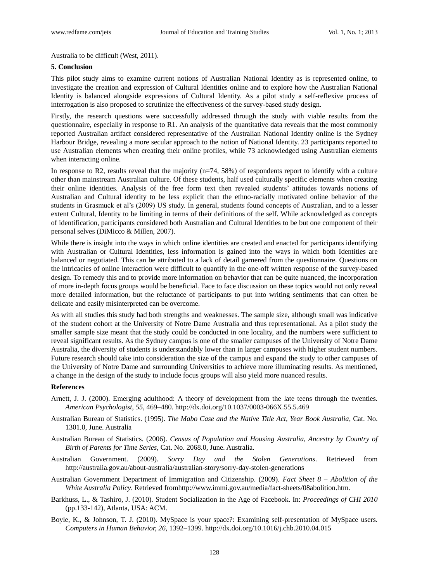Australia to be difficult (West, 2011).

#### **5. Conclusion**

This pilot study aims to examine current notions of Australian National Identity as is represented online, to investigate the creation and expression of Cultural Identities online and to explore how the Australian National Identity is balanced alongside expressions of Cultural Identity. As a pilot study a self-reflexive process of interrogation is also proposed to scrutinize the effectiveness of the survey-based study design.

Firstly, the research questions were successfully addressed through the study with viable results from the questionnaire, especially in response to R1. An analysis of the quantitative data reveals that the most commonly reported Australian artifact considered representative of the Australian National Identity online is the Sydney Harbour Bridge, revealing a more secular approach to the notion of National Identity. 23 participants reported to use Australian elements when creating their online profiles, while 73 acknowledged using Australian elements when interacting online.

In response to R2, results reveal that the majority (n=74, 58%) of respondents report to identify with a culture other than mainstream Australian culture. Of these students, half used culturally specific elements when creating their online identities. Analysis of the free form text then revealed students" attitudes towards notions of Australian and Cultural identity to be less explicit than the ethno-racially motivated online behavior of the students in Grasmuck et al's (2009) US study. In general, students found concepts of Australian, and to a lesser extent Cultural, Identity to be limiting in terms of their definitions of the self. While acknowledged as concepts of identification, participants considered both Australian and Cultural Identities to be but one component of their personal selves (DiMicco & Millen, 2007).

While there is insight into the ways in which online identities are created and enacted for participants identifying with Australian or Cultural Identities, less information is gained into the ways in which both Identities are balanced or negotiated. This can be attributed to a lack of detail garnered from the questionnaire. Questions on the intricacies of online interaction were difficult to quantify in the one-off written response of the survey-based design. To remedy this and to provide more information on behavior that can be quite nuanced, the incorporation of more in-depth focus groups would be beneficial. Face to face discussion on these topics would not only reveal more detailed information, but the reluctance of participants to put into writing sentiments that can often be delicate and easily misinterpreted can be overcome.

As with all studies this study had both strengths and weaknesses. The sample size, although small was indicative of the student cohort at the University of Notre Dame Australia and thus representational. As a pilot study the smaller sample size meant that the study could be conducted in one locality, and the numbers were sufficient to reveal significant results. As the Sydney campus is one of the smaller campuses of the University of Notre Dame Australia, the diversity of students is understandably lower than in larger campuses with higher student numbers. Future research should take into consideration the size of the campus and expand the study to other campuses of the University of Notre Dame and surrounding Universities to achieve more illuminating results. As mentioned, a change in the design of the study to include focus groups will also yield more nuanced results.

### **References**

- Arnett, J. J. (2000). Emerging adulthood: A theory of development from the late teens through the twenties. *American Psychologist, 55*, 469–480. <http://dx.doi.org/10.1037/0003-066X.55.5.469>
- Australian Bureau of Statistics. (1995). *The Mabo Case and the Native Title Act, Year Book Australia*, Cat. No. 1301.0, June. Australia
- Australian Bureau of Statistics. (2006). *Census of Population and Housing Australia, Ancestry by Country of Birth of Parents for Time Series*, Cat. No. 2068.0, June. Australia.
- Australian Government. (2009). *Sorry Day and the Stolen Generations*. Retrieved from <http://australia.gov.au/about-australia/australian-story/sorry-day-stolen-generations>
- Australian Government Department of Immigration and Citizenship. (2009). *Fact Sheet 8 – Abolition of the White Australia Policy*. Retrieved fro[mhttp://www.immi.gov.au/media/fact-sheets/08abolition.htm.](http://www.immi.gov.au/media/fact-sheets/08abolition.htm)
- Barkhuss, L., & Tashiro, J. (2010). Student Socialization in the Age of Facebook. In: *Proceedings of CHI 2010* (pp.133-142), Atlanta, USA: ACM.
- Boyle, K., & Johnson, T. J. (2010). MySpace is your space?: Examining self-presentation of MySpace users. *Computers in Human Behavior, 26*, 1392–1399.<http://dx.doi.org/10.1016/j.chb.2010.04.015>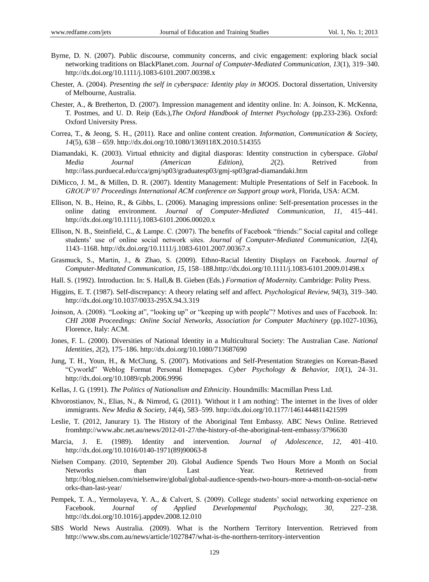- Byrne, D. N. (2007). Public discourse, community concerns, and civic engagement: exploring black social networking traditions on BlackPlanet.com. *Journal of Computer-Mediated Communication, 13*(1), 319–340. <http://dx.doi.org/10.1111/j.1083-6101.2007.00398.x>
- Chester, A. (2004). *Presenting the self in cyberspace: Identity play in MOOS*. Doctoral dissertation, University of Melbourne, Australia.
- Chester, A., & Bretherton, D. (2007). Impression management and identity online. In: A. Joinson, K. McKenna, T. Postmes, and U. D. Reip (Eds.),*The Oxford Handbook of Internet Psychology* (pp.233-236). Oxford: Oxford University Press.
- Correa, T., & Jeong, S. H., (2011). Race and online content creation. *Information, Communication & Society, 14*(5), 638 – 659[. http://dx.doi.org/10.1080/1369118X.2010.514355](http://dx.doi.org/10.1080/1369118X.2010.514355)
- Diamandaki, K. (2003). Virtual ethnicity and digital diasporas: Identity construction in cyberspace. *Global Media Journal (American Edition), 2*(2). Retrived from http://lass.purduecal.edu/cca/gmj/sp03/graduatesp03/gmj-sp03grad-diamandaki.htm
- DiMicco, J. M., & Millen, D. R. (2007). Identity Management: Multiple Presentations of Self in Facebook. In *GROUP'07 Proceedings International ACM conference on Support group work*, Florida, USA: ACM.
- Ellison, N. B., Heino, R., & Gibbs, L. (2006). Managing impressions online: Self-presentation processes in the online dating environment. *Journal of Computer-Mediated Communication, 11*, 415–441. <http://dx.doi.org/10.1111/j.1083-6101.2006.00020.x>
- Ellison, N. B., Steinfield, C., & Lampe. C. (2007). The benefits of Facebook "friends:" Social capital and college students" use of online social network sites. *Journal of Computer-Mediated Communication, 12*(4), 1143–1168.<http://dx.doi.org/10.1111/j.1083-6101.2007.00367.x>
- Grasmuck, S., Martin, J., & Zhao, S. (2009). Ethno-Racial Identity Displays on Facebook. *Journal of Computer-Meditated Communication, 15*, 158–18[8.http://dx.doi.org/10.1111/j.1083-6101.2009.01498.x](http://dx.doi.org/10.1111/j.1083-6101.2009.01498.x)
- Hall. S. (1992). Introduction. In: S. Hall,& B. Gieben (Eds.) *Formation of Modernity.* Cambridge: Polity Press.
- Higgins, E. T. (1987). Self-discrepancy: A theory relating self and affect. *Psychological Review, 94*(3), 319–340. <http://dx.doi.org/10.1037/0033-295X.94.3.319>
- Joinson, A. (2008). "Looking at", "looking up" or "keeping up with people"? Motives and uses of Facebook. In: *CHI 2008 Proceedings: Online Social Networks, Association for Computer Machinery* (pp.1027-1036), Florence, Italy: ACM.
- Jones, F. L. (2000). Diversities of National Identity in a Multicultural Society: The Australian Case. *National Identities, 2*(2), 175–186. <http://dx.doi.org/10.1080/713687690>
- Jung, T. H., Youn, H., & McClung, S. (2007). Motivations and Self-Presentation Strategies on Korean-Based "Cyworld" Weblog Format Personal Homepages. *Cyber Psychology & Behavior, 10*(1), 24–31. <http://dx.doi.org/10.1089/cpb.2006.9996>
- Kellas, J. G. (1991). *The Politics of Nationalism and Ethnicity*. Houndmills: Macmillan Press Ltd.
- Khvorostianov, N., Elias, N., & Nimrod, G. (2011). 'Without it I am nothing': The internet in the lives of older immigrants. *New Media & Society, 14*(4), 583–599. <http://dx.doi.org/10.1177/1461444811421599>
- Leslie, T. (2012, Janurary 1). The History of the Aboriginal Tent Embassy. ABC News Online. Retrieved fro[mhttp://www.abc.net.au/news/2012-01-27/the-history-of-the-aboriginal-tent-embassy/3796630](http://www.abc.net.au/news/2012-01-27/the-history-of-the-aboriginal-tent-embassy/3796630)
- Marcia, J. E. (1989). Identity and intervention. *Journal of Adolescence, 12,* 401–410. [http://dx.doi.org/10.1016/0140-1971\(89\)90063-8](http://dx.doi.org/10.1016/0140-1971%2889%2990063-8)
- Nielsen Company. (2010, September 20). Global Audience Spends Two Hours More a Month on Social Networks than Last Year. Retrieved from [http://blog.nielsen.com/nielsenwire/global/global-audience-spends-two-hours-more-a-month-on-social-netw](http://blog.nielsen.com/nielsenwire/global/global-audience-spends-two-hours-more-a-month-on-social-networks-than-last-year/) [orks-than-last-year/](http://blog.nielsen.com/nielsenwire/global/global-audience-spends-two-hours-more-a-month-on-social-networks-than-last-year/)
- Pempek, T. A., Yermolayeva, Y. A., & Calvert, S. (2009). College students' social networking experience on Facebook. *Journal of Applied Developmental Psychology, 30*, 227–238. <http://dx.doi.org/10.1016/j.appdev.2008.12.010>
- SBS World News Australia. (2009). What is the Northern Territory Intervention. Retrieved from <http://www.sbs.com.au/news/article/1027847/what-is-the-northern-territory-intervention>